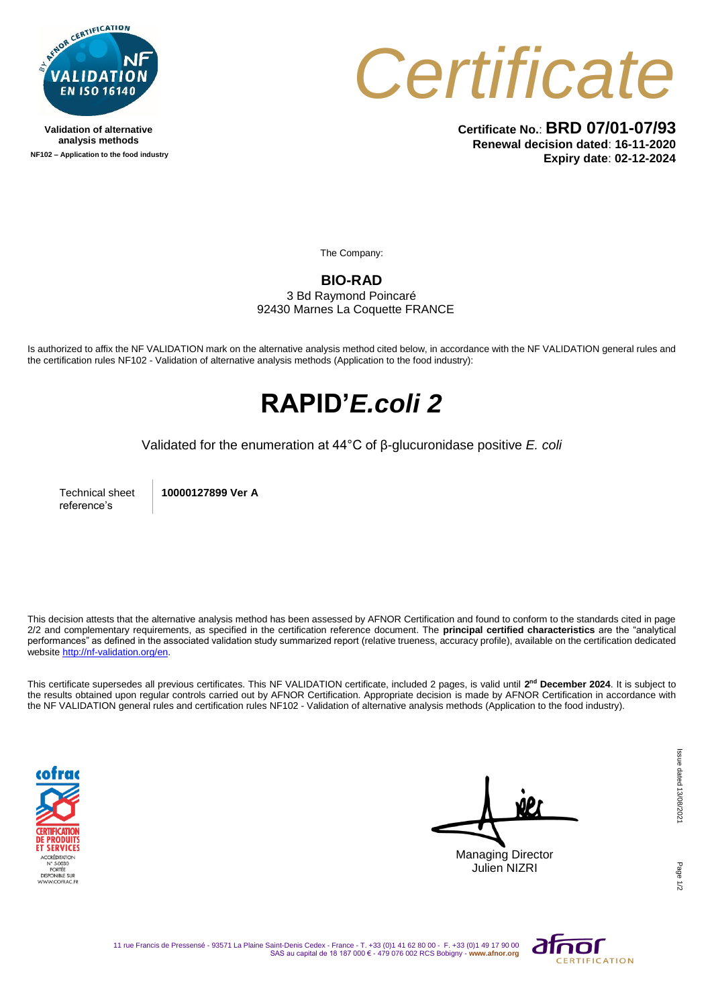

**Validation of alternative analysis methods NF102 – Application to the food industry**



**Certificate No.**: **BRD 07/01-07/93 Renewal decision dated**: **16-11-2020 Expiry date**: **02-12-2024**

The Company:

#### **BIO-RAD**

3 Bd Raymond Poincaré 92430 Marnes La Coquette FRANCE

Is authorized to affix the NF VALIDATION mark on the alternative analysis method cited below, in accordance with the NF VALIDATION general rules and the certification rules NF102 - Validation of alternative analysis methods (Application to the food industry):

## **RAPID'***E.coli 2*

Validated for the enumeration at 44°C of β-glucuronidase positive *E. coli*

Technical sheet reference's

**10000127899 Ver A**

This decision attests that the alternative analysis method has been assessed by AFNOR Certification and found to conform to the standards cited in page 2/2 and complementary requirements, as specified in the certification reference document. The **principal certified characteristics** are the "analytical performances" as defined in the associated validation study summarized report (relative trueness, accuracy profile), available on the certification dedicated websit[e http://nf-validation.org/en.](http://nf-validation.org/en)

This certificate supersedes all previous certificates. This NF VALIDATION certificate, included 2 pages, is valid until **2 nd December 2024**. It is subject to the results obtained upon regular controls carried out by AFNOR Certification. Appropriate decision is made by AFNOR Certification in accordance with the NF VALIDATION general rules and certification rules NF102 - Validation of alternative analysis methods (Application to the food industry).



Managing Director Julien NIZRI